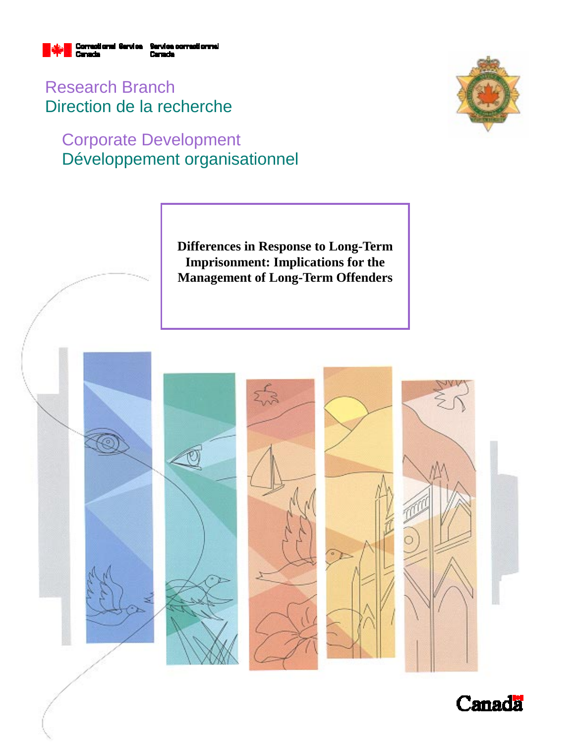

Research Branch Direction de la recherche

# Corporate Development Développement organisationnel



**Differences in Response to Long-Term Imprisonment: Implications for the Management of Long-Term Offenders** 



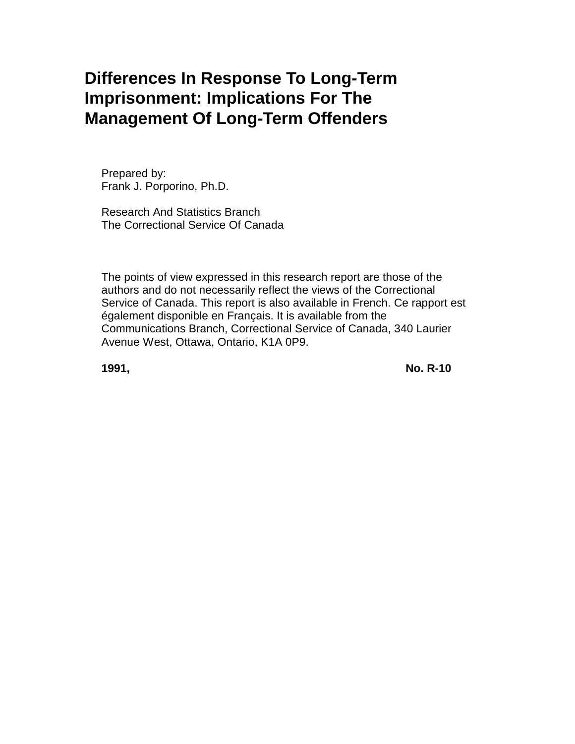# **Differences In Response To Long-Term Imprisonment: Implications For The Management Of Long-Term Offenders**

Prepared by: Frank J. Porporino, Ph.D.

Research And Statistics Branch The Correctional Service Of Canada

The points of view expressed in this research report are those of the authors and do not necessarily reflect the views of the Correctional Service of Canada. This report is also available in French. Ce rapport est également disponible en Français. It is available from the Communications Branch, Correctional Service of Canada, 340 Laurier Avenue West, Ottawa, Ontario, K1A 0P9.

**1991, No. R-10**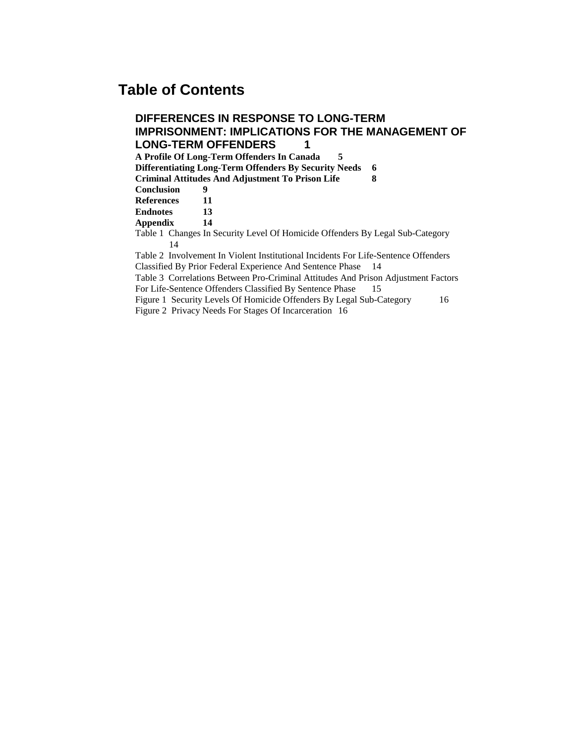### **Table of Contents**

#### **DIFFERENCES IN RESPONSE TO LONG-TERM IMPRISONMENT: IMPLICATIONS FOR THE MANAGEMENT OF LONG-TERM OFFENDERS 1 A Profile Of Long-Term Offenders In Canada 5 Differentiating Long-Term Offenders By Security Needs 6 Criminal Attitudes And Adjustment To Prison Life 8 Conclusion 9 References 11 Endnotes 13 Appendix 14** Table 1 Changes In Security Level Of Homicide Offenders By Legal Sub-Category 14 Table 2 Involvement In Violent Institutional Incidents For Life-Sentence Offenders Classified By Prior Federal Experience And Sentence Phase 14 Table 3 Correlations Between Pro-Criminal Attitudes And Prison Adjustment Factors For Life-Sentence Offenders Classified By Sentence Phase 15 Figure 1 Security Levels Of Homicide Offenders By Legal Sub-Category 16

Figure 2 Privacy Needs For Stages Of Incarceration 16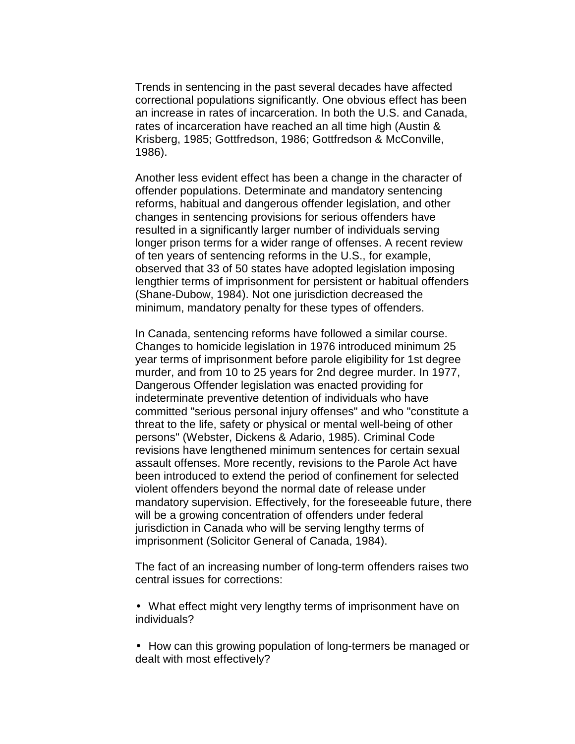Trends in sentencing in the past several decades have affected correctional populations significantly. One obvious effect has been an increase in rates of incarceration. In both the U.S. and Canada, rates of incarceration have reached an all time high (Austin & Krisberg, 1985; Gottfredson, 1986; Gottfredson & McConville, 1986).

Another less evident effect has been a change in the character of offender populations. Determinate and mandatory sentencing reforms, habitual and dangerous offender legislation, and other changes in sentencing provisions for serious offenders have resulted in a significantly larger number of individuals serving longer prison terms for a wider range of offenses. A recent review of ten years of sentencing reforms in the U.S., for example, observed that 33 of 50 states have adopted legislation imposing lengthier terms of imprisonment for persistent or habitual offenders (Shane-Dubow, 1984). Not one jurisdiction decreased the minimum, mandatory penalty for these types of offenders.

In Canada, sentencing reforms have followed a similar course. Changes to homicide legislation in 1976 introduced minimum 25 year terms of imprisonment before parole eligibility for 1st degree murder, and from 10 to 25 years for 2nd degree murder. In 1977, Dangerous Offender legislation was enacted providing for indeterminate preventive detention of individuals who have committed "serious personal injury offenses" and who "constitute a threat to the life, safety or physical or mental well-being of other persons" (Webster, Dickens & Adario, 1985). Criminal Code revisions have lengthened minimum sentences for certain sexual assault offenses. More recently, revisions to the Parole Act have been introduced to extend the period of confinement for selected violent offenders beyond the normal date of release under mandatory supervision. Effectively, for the foreseeable future, there will be a growing concentration of offenders under federal jurisdiction in Canada who will be serving lengthy terms of imprisonment (Solicitor General of Canada, 1984).

The fact of an increasing number of long-term offenders raises two central issues for corrections:

- What effect might very lengthy terms of imprisonment have on individuals?
- How can this growing population of long-termers be managed or dealt with most effectively?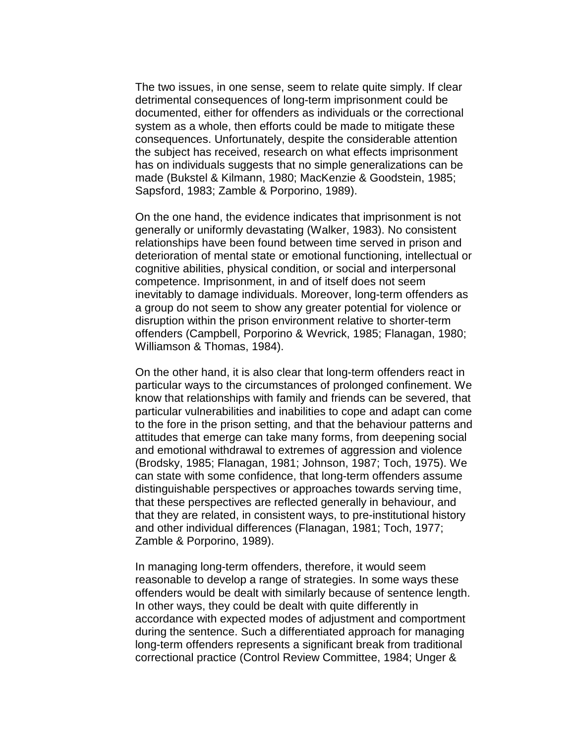The two issues, in one sense, seem to relate quite simply. If clear detrimental consequences of long-term imprisonment could be documented, either for offenders as individuals or the correctional system as a whole, then efforts could be made to mitigate these consequences. Unfortunately, despite the considerable attention the subject has received, research on what effects imprisonment has on individuals suggests that no simple generalizations can be made (Bukstel & Kilmann, 1980; MacKenzie & Goodstein, 1985; Sapsford, 1983; Zamble & Porporino, 1989).

On the one hand, the evidence indicates that imprisonment is not generally or uniformly devastating (Walker, 1983). No consistent relationships have been found between time served in prison and deterioration of mental state or emotional functioning, intellectual or cognitive abilities, physical condition, or social and interpersonal competence. Imprisonment, in and of itself does not seem inevitably to damage individuals. Moreover, long-term offenders as a group do not seem to show any greater potential for violence or disruption within the prison environment relative to shorter-term offenders (Campbell, Porporino & Wevrick, 1985; Flanagan, 1980; Williamson & Thomas, 1984).

On the other hand, it is also clear that long-term offenders react in particular ways to the circumstances of prolonged confinement. We know that relationships with family and friends can be severed, that particular vulnerabilities and inabilities to cope and adapt can come to the fore in the prison setting, and that the behaviour patterns and attitudes that emerge can take many forms, from deepening social and emotional withdrawal to extremes of aggression and violence (Brodsky, 1985; Flanagan, 1981; Johnson, 1987; Toch, 1975). We can state with some confidence, that long-term offenders assume distinguishable perspectives or approaches towards serving time, that these perspectives are reflected generally in behaviour, and that they are related, in consistent ways, to pre-institutional history and other individual differences (Flanagan, 1981; Toch, 1977; Zamble & Porporino, 1989).

In managing long-term offenders, therefore, it would seem reasonable to develop a range of strategies. In some ways these offenders would be dealt with similarly because of sentence length. In other ways, they could be dealt with quite differently in accordance with expected modes of adjustment and comportment during the sentence. Such a differentiated approach for managing long-term offenders represents a significant break from traditional correctional practice (Control Review Committee, 1984; Unger &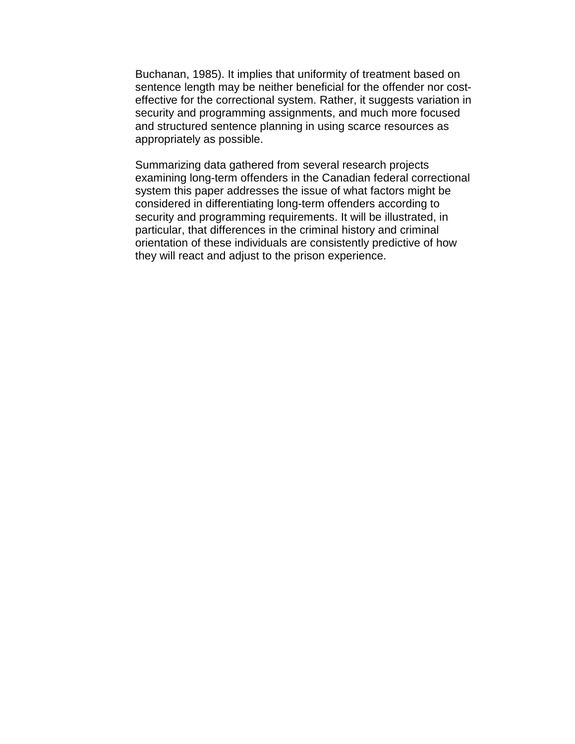Buchanan, 1985). It implies that uniformity of treatment based on sentence length may be neither beneficial for the offender nor costeffective for the correctional system. Rather, it suggests variation in security and programming assignments, and much more focused and structured sentence planning in using scarce resources as appropriately as possible.

Summarizing data gathered from several research projects examining long-term offenders in the Canadian federal correctional system this paper addresses the issue of what factors might be considered in differentiating long-term offenders according to security and programming requirements. It will be illustrated, in particular, that differences in the criminal history and criminal orientation of these individuals are consistently predictive of how they will react and adjust to the prison experience.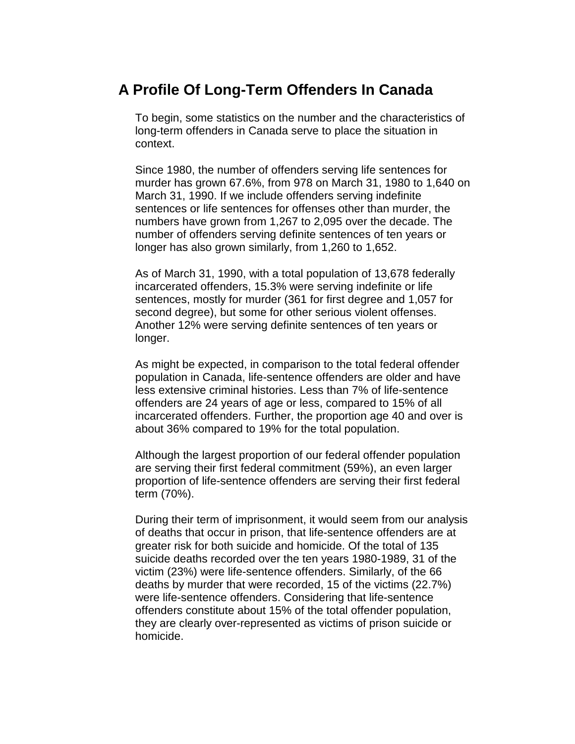### **A Profile Of Long-Term Offenders In Canada**

To begin, some statistics on the number and the characteristics of long-term offenders in Canada serve to place the situation in context.

Since 1980, the number of offenders serving life sentences for murder has grown 67.6%, from 978 on March 31, 1980 to 1,640 on March 31, 1990. If we include offenders serving indefinite sentences or life sentences for offenses other than murder, the numbers have grown from 1,267 to 2,095 over the decade. The number of offenders serving definite sentences of ten years or longer has also grown similarly, from 1,260 to 1,652.

As of March 31, 1990, with a total population of 13,678 federally incarcerated offenders, 15.3% were serving indefinite or life sentences, mostly for murder (361 for first degree and 1,057 for second degree), but some for other serious violent offenses. Another 12% were serving definite sentences of ten years or longer.

As might be expected, in comparison to the total federal offender population in Canada, life-sentence offenders are older and have less extensive criminal histories. Less than 7% of life-sentence offenders are 24 years of age or less, compared to 15% of all incarcerated offenders. Further, the proportion age 40 and over is about 36% compared to 19% for the total population.

Although the largest proportion of our federal offender population are serving their first federal commitment (59%), an even larger proportion of life-sentence offenders are serving their first federal term (70%).

During their term of imprisonment, it would seem from our analysis of deaths that occur in prison, that life-sentence offenders are at greater risk for both suicide and homicide. Of the total of 135 suicide deaths recorded over the ten years 1980-1989, 31 of the victim (23%) were life-sentence offenders. Similarly, of the 66 deaths by murder that were recorded, 15 of the victims (22.7%) were life-sentence offenders. Considering that life-sentence offenders constitute about 15% of the total offender population, they are clearly over-represented as victims of prison suicide or homicide.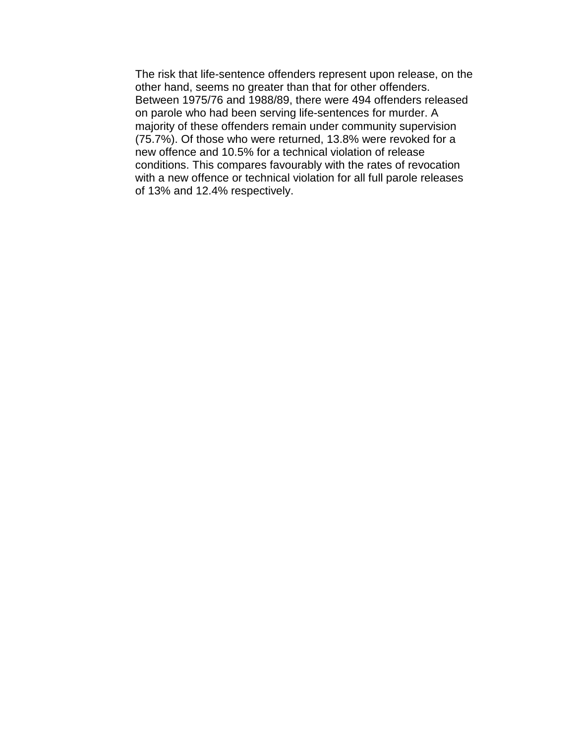The risk that life-sentence offenders represent upon release, on the other hand, seems no greater than that for other offenders. Between 1975/76 and 1988/89, there were 494 offenders released on parole who had been serving life-sentences for murder. A majority of these offenders remain under community supervision (75.7%). Of those who were returned, 13.8% were revoked for a new offence and 10.5% for a technical violation of release conditions. This compares favourably with the rates of revocation with a new offence or technical violation for all full parole releases of 13% and 12.4% respectively.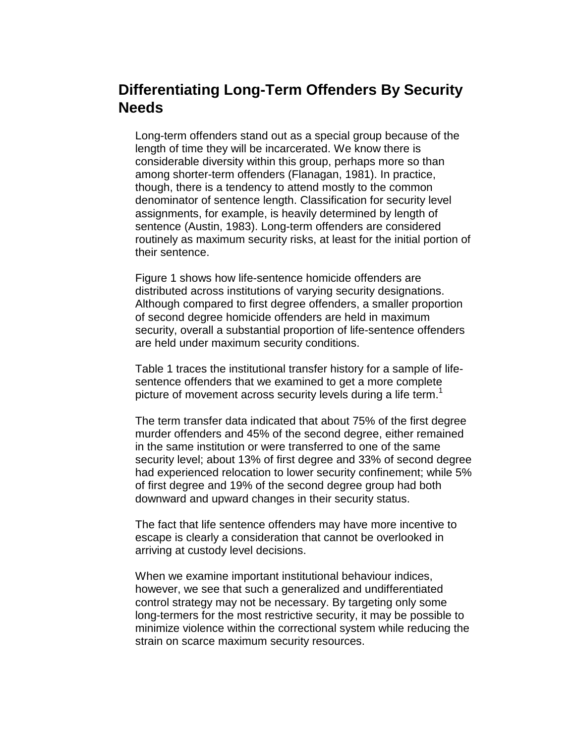### **Differentiating Long-Term Offenders By Security Needs**

Long-term offenders stand out as a special group because of the length of time they will be incarcerated. We know there is considerable diversity within this group, perhaps more so than among shorter-term offenders (Flanagan, 1981). In practice, though, there is a tendency to attend mostly to the common denominator of sentence length. Classification for security level assignments, for example, is heavily determined by length of sentence (Austin, 1983). Long-term offenders are considered routinely as maximum security risks, at least for the initial portion of their sentence.

Figure 1 shows how life-sentence homicide offenders are distributed across institutions of varying security designations. Although compared to first degree offenders, a smaller proportion of second degree homicide offenders are held in maximum security, overall a substantial proportion of life-sentence offenders are held under maximum security conditions.

Table 1 traces the institutional transfer history for a sample of lifesentence offenders that we examined to get a more complete picture of movement across security levels during a life term.<sup>1</sup>

The term transfer data indicated that about 75% of the first degree murder offenders and 45% of the second degree, either remained in the same institution or were transferred to one of the same security level; about 13% of first degree and 33% of second degree had experienced relocation to lower security confinement; while 5% of first degree and 19% of the second degree group had both downward and upward changes in their security status.

The fact that life sentence offenders may have more incentive to escape is clearly a consideration that cannot be overlooked in arriving at custody level decisions.

When we examine important institutional behaviour indices, however, we see that such a generalized and undifferentiated control strategy may not be necessary. By targeting only some long-termers for the most restrictive security, it may be possible to minimize violence within the correctional system while reducing the strain on scarce maximum security resources.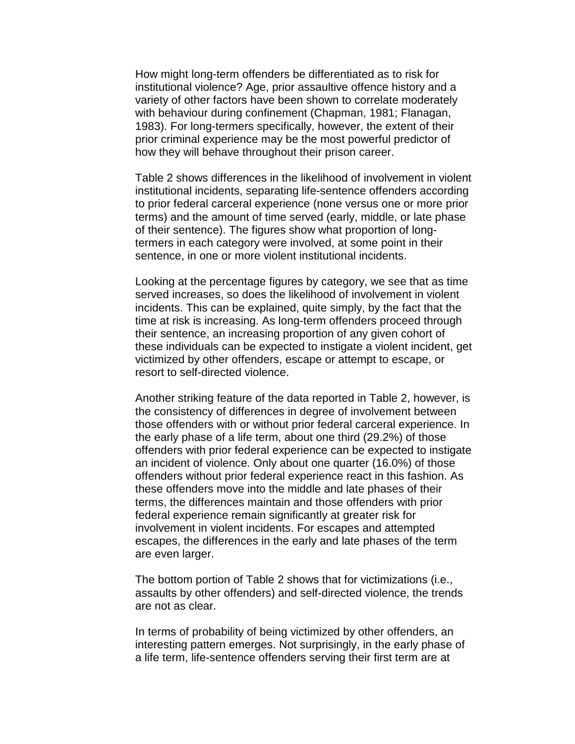How might long-term offenders be differentiated as to risk for institutional violence? Age, prior assaultive offence history and a variety of other factors have been shown to correlate moderately with behaviour during confinement (Chapman, 1981; Flanagan, 1983). For long-termers specifically, however, the extent of their prior criminal experience may be the most powerful predictor of how they will behave throughout their prison career.

Table 2 shows differences in the likelihood of involvement in violent institutional incidents, separating life-sentence offenders according to prior federal carceral experience (none versus one or more prior terms) and the amount of time served (early, middle, or late phase of their sentence). The figures show what proportion of longtermers in each category were involved, at some point in their sentence, in one or more violent institutional incidents.

Looking at the percentage figures by category, we see that as time served increases, so does the likelihood of involvement in violent incidents. This can be explained, quite simply, by the fact that the time at risk is increasing. As long-term offenders proceed through their sentence, an increasing proportion of any given cohort of these individuals can be expected to instigate a violent incident, get victimized by other offenders, escape or attempt to escape, or resort to self-directed violence.

Another striking feature of the data reported in Table 2, however, is the consistency of differences in degree of involvement between those offenders with or without prior federal carceral experience. In the early phase of a life term, about one third (29.2%) of those offenders with prior federal experience can be expected to instigate an incident of violence. Only about one quarter (16.0%) of those offenders without prior federal experience react in this fashion. As these offenders move into the middle and late phases of their terms, the differences maintain and those offenders with prior federal experience remain significantly at greater risk for involvement in violent incidents. For escapes and attempted escapes, the differences in the early and late phases of the term are even larger.

The bottom portion of Table 2 shows that for victimizations (i.e., assaults by other offenders) and self-directed violence, the trends are not as clear.

In terms of probability of being victimized by other offenders, an interesting pattern emerges. Not surprisingly, in the early phase of a life term, life-sentence offenders serving their first term are at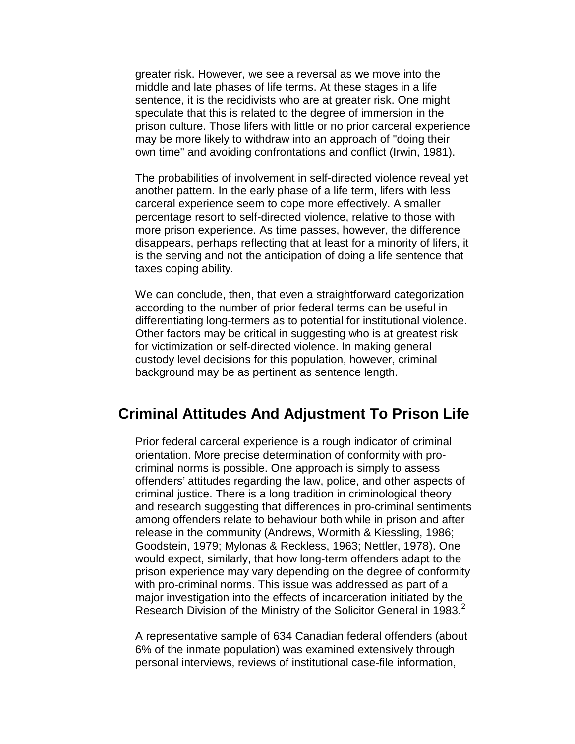greater risk. However, we see a reversal as we move into the middle and late phases of life terms. At these stages in a life sentence, it is the recidivists who are at greater risk. One might speculate that this is related to the degree of immersion in the prison culture. Those lifers with little or no prior carceral experience may be more likely to withdraw into an approach of "doing their own time" and avoiding confrontations and conflict (Irwin, 1981).

The probabilities of involvement in self-directed violence reveal yet another pattern. In the early phase of a life term, lifers with less carceral experience seem to cope more effectively. A smaller percentage resort to self-directed violence, relative to those with more prison experience. As time passes, however, the difference disappears, perhaps reflecting that at least for a minority of lifers, it is the serving and not the anticipation of doing a life sentence that taxes coping ability.

We can conclude, then, that even a straightforward categorization according to the number of prior federal terms can be useful in differentiating long-termers as to potential for institutional violence. Other factors may be critical in suggesting who is at greatest risk for victimization or self-directed violence. In making general custody level decisions for this population, however, criminal background may be as pertinent as sentence length.

#### **Criminal Attitudes And Adjustment To Prison Life**

Prior federal carceral experience is a rough indicator of criminal orientation. More precise determination of conformity with procriminal norms is possible. One approach is simply to assess offenders' attitudes regarding the law, police, and other aspects of criminal justice. There is a long tradition in criminological theory and research suggesting that differences in pro-criminal sentiments among offenders relate to behaviour both while in prison and after release in the community (Andrews, Wormith & Kiessling, 1986; Goodstein, 1979; Mylonas & Reckless, 1963; Nettler, 1978). One would expect, similarly, that how long-term offenders adapt to the prison experience may vary depending on the degree of conformity with pro-criminal norms. This issue was addressed as part of a major investigation into the effects of incarceration initiated by the Research Division of the Ministry of the Solicitor General in 1983.<sup>2</sup>

A representative sample of 634 Canadian federal offenders (about 6% of the inmate population) was examined extensively through personal interviews, reviews of institutional case-file information,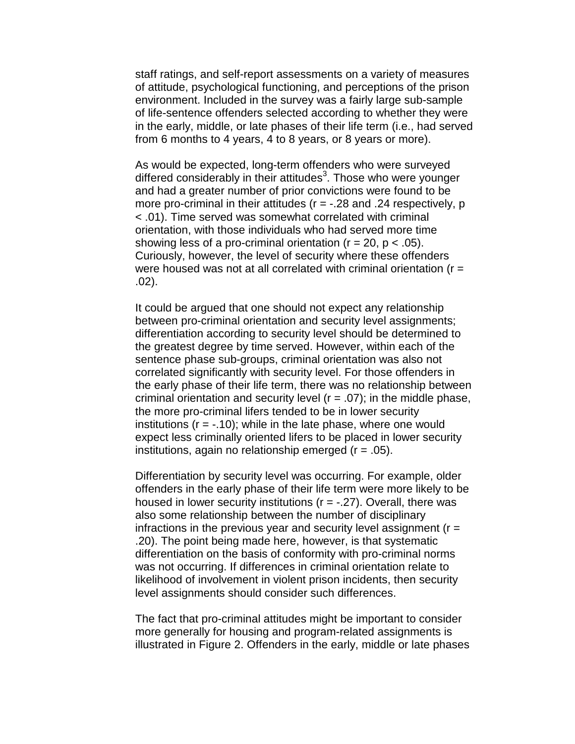staff ratings, and self-report assessments on a variety of measures of attitude, psychological functioning, and perceptions of the prison environment. Included in the survey was a fairly large sub-sample of life-sentence offenders selected according to whether they were in the early, middle, or late phases of their life term (i.e., had served from 6 months to 4 years, 4 to 8 years, or 8 years or more).

As would be expected, long-term offenders who were surveyed differed considerably in their attitudes<sup>3</sup>. Those who were younger and had a greater number of prior convictions were found to be more pro-criminal in their attitudes ( $r = -28$  and .24 respectively, p < .01). Time served was somewhat correlated with criminal orientation, with those individuals who had served more time showing less of a pro-criminal orientation ( $r = 20$ ,  $p < .05$ ). Curiously, however, the level of security where these offenders were housed was not at all correlated with criminal orientation ( $r =$ .02).

It could be argued that one should not expect any relationship between pro-criminal orientation and security level assignments; differentiation according to security level should be determined to the greatest degree by time served. However, within each of the sentence phase sub-groups, criminal orientation was also not correlated significantly with security level. For those offenders in the early phase of their life term, there was no relationship between criminal orientation and security level  $(r = .07)$ ; in the middle phase, the more pro-criminal lifers tended to be in lower security institutions  $(r = -.10)$ ; while in the late phase, where one would expect less criminally oriented lifers to be placed in lower security institutions, again no relationship emerged  $(r = .05)$ .

Differentiation by security level was occurring. For example, older offenders in the early phase of their life term were more likely to be housed in lower security institutions ( $r = -0.27$ ). Overall, there was also some relationship between the number of disciplinary infractions in the previous year and security level assignment ( $r =$ .20). The point being made here, however, is that systematic differentiation on the basis of conformity with pro-criminal norms was not occurring. If differences in criminal orientation relate to likelihood of involvement in violent prison incidents, then security level assignments should consider such differences.

The fact that pro-criminal attitudes might be important to consider more generally for housing and program-related assignments is illustrated in Figure 2. Offenders in the early, middle or late phases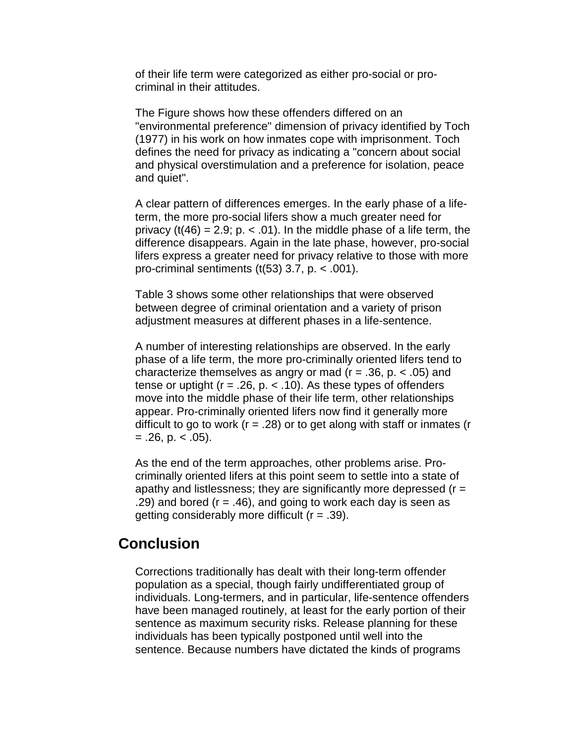of their life term were categorized as either pro-social or procriminal in their attitudes.

The Figure shows how these offenders differed on an "environmental preference" dimension of privacy identified by Toch (1977) in his work on how inmates cope with imprisonment. Toch defines the need for privacy as indicating a "concern about social and physical overstimulation and a preference for isolation, peace and quiet".

A clear pattern of differences emerges. In the early phase of a lifeterm, the more pro-social lifers show a much greater need for privacy ( $t(46) = 2.9$ ; p. < .01). In the middle phase of a life term, the difference disappears. Again in the late phase, however, pro-social lifers express a greater need for privacy relative to those with more pro-criminal sentiments  $(t(53)$  3.7, p.  $<$  0.01).

Table 3 shows some other relationships that were observed between degree of criminal orientation and a variety of prison adjustment measures at different phases in a life-sentence.

A number of interesting relationships are observed. In the early phase of a life term, the more pro-criminally oriented lifers tend to characterize themselves as angry or mad ( $r = .36$ ,  $p. < .05$ ) and tense or uptight ( $r = 0.26$ ,  $p. < 0.10$ ). As these types of offenders move into the middle phase of their life term, other relationships appear. Pro-criminally oriented lifers now find it generally more difficult to go to work ( $r = .28$ ) or to get along with staff or inmates ( $r = 1$  $= .26$ , p.  $< .05$ ).

As the end of the term approaches, other problems arise. Procriminally oriented lifers at this point seem to settle into a state of apathy and listlessness; they are significantly more depressed  $(r =$ .29) and bored  $(r = .46)$ , and going to work each day is seen as getting considerably more difficult  $(r = .39)$ .

#### **Conclusion**

Corrections traditionally has dealt with their long-term offender population as a special, though fairly undifferentiated group of individuals. Long-termers, and in particular, life-sentence offenders have been managed routinely, at least for the early portion of their sentence as maximum security risks. Release planning for these individuals has been typically postponed until well into the sentence. Because numbers have dictated the kinds of programs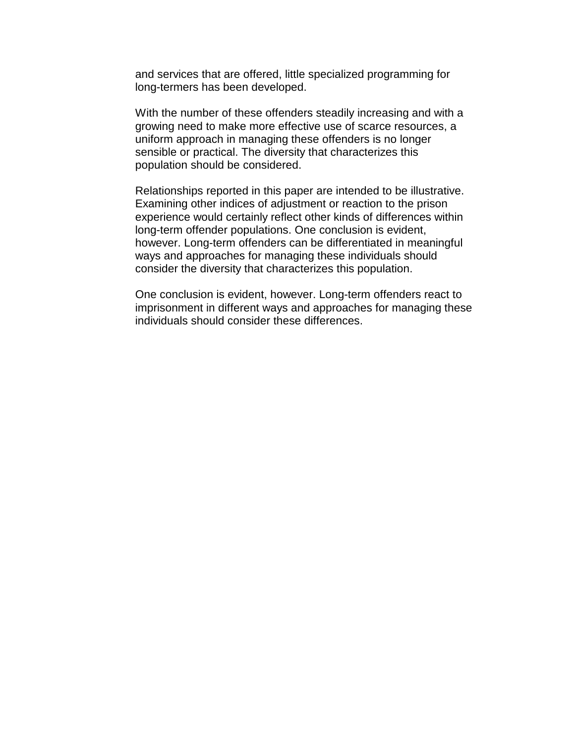and services that are offered, little specialized programming for long-termers has been developed.

With the number of these offenders steadily increasing and with a growing need to make more effective use of scarce resources, a uniform approach in managing these offenders is no longer sensible or practical. The diversity that characterizes this population should be considered.

Relationships reported in this paper are intended to be illustrative. Examining other indices of adjustment or reaction to the prison experience would certainly reflect other kinds of differences within long-term offender populations. One conclusion is evident, however. Long-term offenders can be differentiated in meaningful ways and approaches for managing these individuals should consider the diversity that characterizes this population.

One conclusion is evident, however. Long-term offenders react to imprisonment in different ways and approaches for managing these individuals should consider these differences.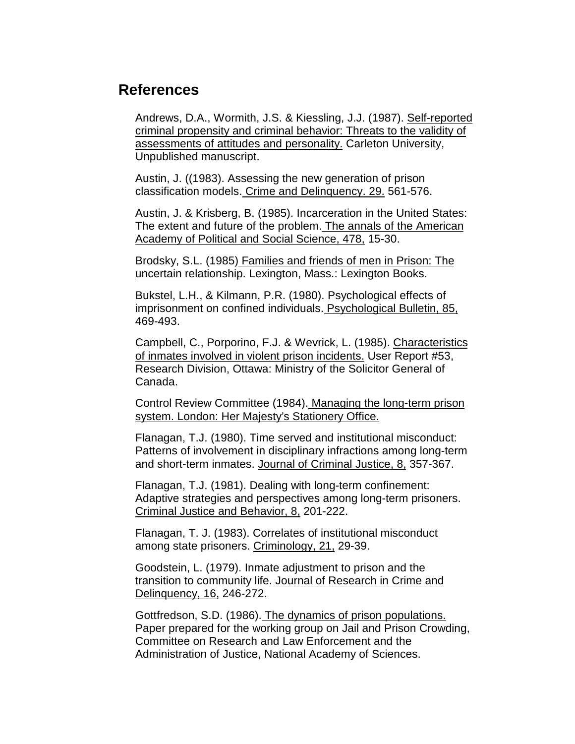### **References**

Andrews, D.A., Wormith, J.S. & Kiessling, J.J. (1987). Self-reported criminal propensity and criminal behavior: Threats to the validity of assessments of attitudes and personality. Carleton University, Unpublished manuscript.

Austin, J. ((1983). Assessing the new generation of prison classification models. Crime and Delinquency. 29. 561-576.

Austin, J. & Krisberg, B. (1985). Incarceration in the United States: The extent and future of the problem. The annals of the American Academy of Political and Social Science, 478, 15-30.

Brodsky, S.L. (1985) Families and friends of men in Prison: The uncertain relationship. Lexington, Mass.: Lexington Books.

Bukstel, L.H., & Kilmann, P.R. (1980). Psychological effects of imprisonment on confined individuals. Psychological Bulletin, 85, 469-493.

Campbell, C., Porporino, F.J. & Wevrick, L. (1985). Characteristics of inmates involved in violent prison incidents. User Report #53, Research Division, Ottawa: Ministry of the Solicitor General of Canada.

Control Review Committee (1984). Managing the long-term prison system. London: Her Majesty's Stationery Office.

Flanagan, T.J. (1980). Time served and institutional misconduct: Patterns of involvement in disciplinary infractions among long-term and short-term inmates. Journal of Criminal Justice, 8, 357-367.

Flanagan, T.J. (1981). Dealing with long-term confinement: Adaptive strategies and perspectives among long-term prisoners. Criminal Justice and Behavior, 8, 201-222.

Flanagan, T. J. (1983). Correlates of institutional misconduct among state prisoners. Criminology, 21, 29-39.

Goodstein, L. (1979). Inmate adjustment to prison and the transition to community life. Journal of Research in Crime and Delinquency, 16, 246-272.

Gottfredson, S.D. (1986). The dynamics of prison populations. Paper prepared for the working group on Jail and Prison Crowding, Committee on Research and Law Enforcement and the Administration of Justice, National Academy of Sciences.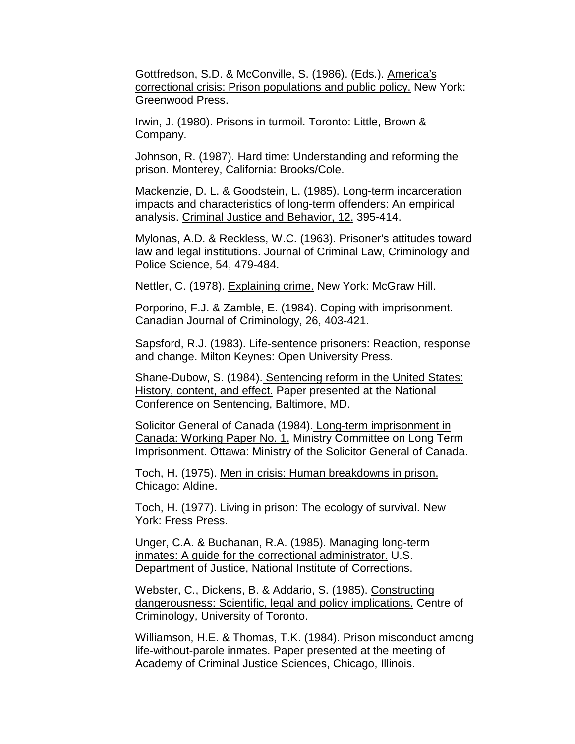Gottfredson, S.D. & McConville, S. (1986). (Eds.). America's correctional crisis: Prison populations and public policy. New York: Greenwood Press.

Irwin, J. (1980). Prisons in turmoil. Toronto: Little, Brown & Company.

Johnson, R. (1987). Hard time: Understanding and reforming the prison. Monterey, California: Brooks/Cole.

Mackenzie, D. L. & Goodstein, L. (1985). Long-term incarceration impacts and characteristics of long-term offenders: An empirical analysis. Criminal Justice and Behavior, 12. 395-414.

Mylonas, A.D. & Reckless, W.C. (1963). Prisoner's attitudes toward law and legal institutions. Journal of Criminal Law, Criminology and Police Science, 54, 479-484.

Nettler, C. (1978). Explaining crime. New York: McGraw Hill.

Porporino, F.J. & Zamble, E. (1984). Coping with imprisonment. Canadian Journal of Criminology, 26, 403-421.

Sapsford, R.J. (1983). Life-sentence prisoners: Reaction, response and change. Milton Keynes: Open University Press.

Shane-Dubow, S. (1984). Sentencing reform in the United States: History, content, and effect. Paper presented at the National Conference on Sentencing, Baltimore, MD.

Solicitor General of Canada (1984). Long-term imprisonment in Canada: Working Paper No. 1. Ministry Committee on Long Term Imprisonment. Ottawa: Ministry of the Solicitor General of Canada.

Toch, H. (1975). Men in crisis: Human breakdowns in prison. Chicago: Aldine.

Toch, H. (1977). Living in prison: The ecology of survival. New York: Fress Press.

Unger, C.A. & Buchanan, R.A. (1985). Managing long-term inmates: A guide for the correctional administrator. U.S. Department of Justice, National Institute of Corrections.

Webster, C., Dickens, B. & Addario, S. (1985). Constructing dangerousness: Scientific, legal and policy implications. Centre of Criminology, University of Toronto.

Williamson, H.E. & Thomas, T.K. (1984). Prison misconduct among life-without-parole inmates. Paper presented at the meeting of Academy of Criminal Justice Sciences, Chicago, Illinois.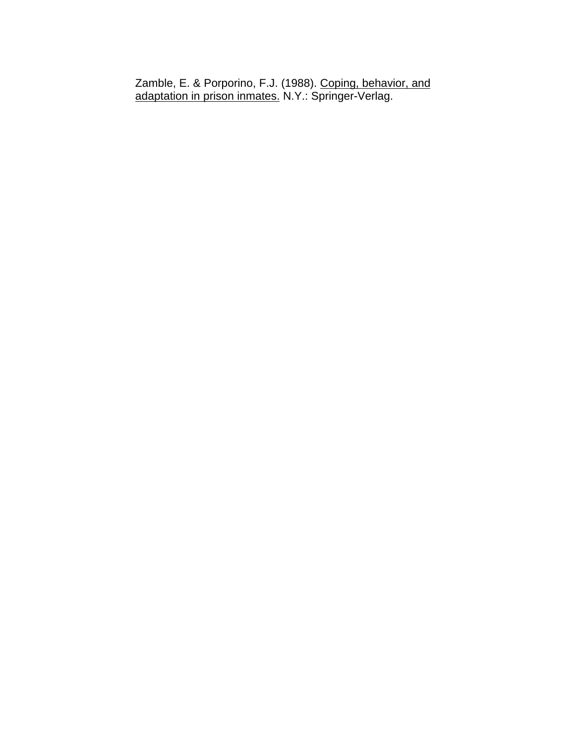Zamble, E. & Porporino, F.J. (1988). Coping, behavior, and adaptation in prison inmates. N.Y.: Springer-Verlag.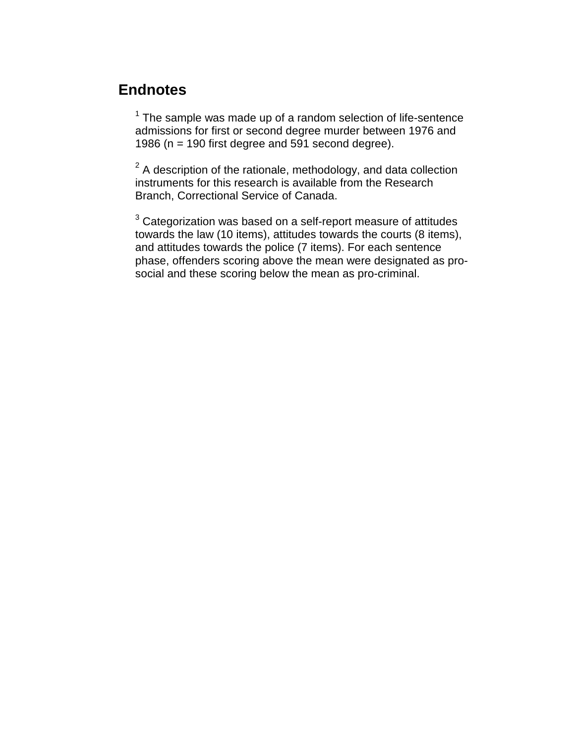### **Endnotes**

 $1$  The sample was made up of a random selection of life-sentence admissions for first or second degree murder between 1976 and 1986 ( $n = 190$  first degree and 591 second degree).

 $2$  A description of the rationale, methodology, and data collection instruments for this research is available from the Research Branch, Correctional Service of Canada.

 $^3$  Categorization was based on a self-report measure of attitudes towards the law (10 items), attitudes towards the courts (8 items), and attitudes towards the police (7 items). For each sentence phase, offenders scoring above the mean were designated as prosocial and these scoring below the mean as pro-criminal.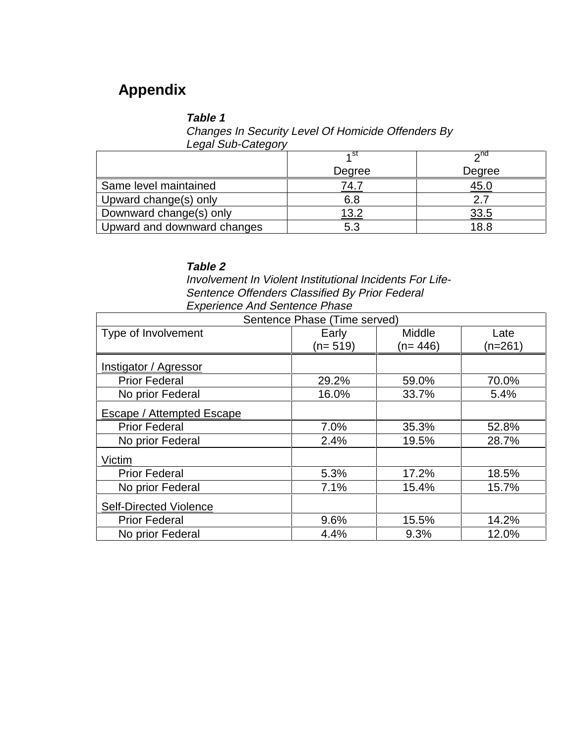## **Appendix**

#### **Table 1**

Changes In Security Level Of Homicide Offenders By Legal Sub-Category

|                             | ⊿ St   | $\lambda$ nd |
|-----------------------------|--------|--------------|
|                             | Degree | Degree       |
| Same level maintained       | 74.7   | <u>45.0</u>  |
| Upward change(s) only       | 6.8    | 2.7          |
| Downward change(s) only     | 13.2   | <u>33.5</u>  |
| Upward and downward changes | 5.3    | 18.8         |

#### **Table 2**

Involvement In Violent Institutional Incidents For Life-Sentence Offenders Classified By Prior Federal Experience And Sentence Phase

| Sentence Phase (Time served)  |           |               |         |  |
|-------------------------------|-----------|---------------|---------|--|
| Type of Involvement           | Early     | <b>Middle</b> | Late    |  |
|                               | $(n=519)$ | (n= 446)      | (n=261) |  |
| Instigator / Agressor         |           |               |         |  |
| <b>Prior Federal</b>          | 29.2%     | 59.0%         | 70.0%   |  |
| No prior Federal              | 16.0%     | 33.7%         | 5.4%    |  |
| Escape / Attempted Escape     |           |               |         |  |
| <b>Prior Federal</b>          | 7.0%      | 35.3%         | 52.8%   |  |
| No prior Federal              | 2.4%      | 19.5%         | 28.7%   |  |
| Victim                        |           |               |         |  |
| <b>Prior Federal</b>          | 5.3%      | 17.2%         | 18.5%   |  |
| No prior Federal              | 7.1%      | 15.4%         | 15.7%   |  |
| <b>Self-Directed Violence</b> |           |               |         |  |
| <b>Prior Federal</b>          | 9.6%      | 15.5%         | 14.2%   |  |
| No prior Federal              | 4.4%      | 9.3%          | 12.0%   |  |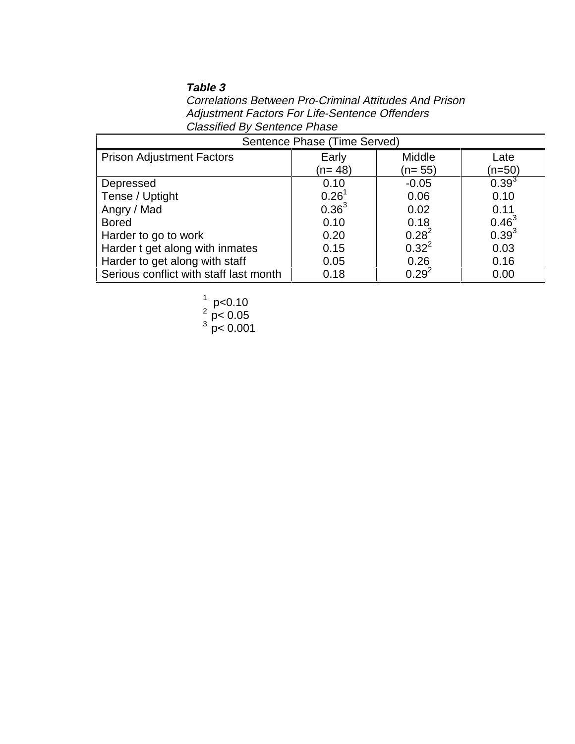#### **Table 3**

Correlations Between Pro-Criminal Attitudes And Prison Adjustment Factors For Life-Sentence Offenders Classified By Sentence Phase

| Sentence Phase (Time Served)           |            |            |            |  |  |
|----------------------------------------|------------|------------|------------|--|--|
| <b>Prison Adjustment Factors</b>       | Early      | Middle     | Late       |  |  |
|                                        | (n= 48)    | $(n=55)$   | (n=50)     |  |  |
| Depressed                              | 0.10       | $-0.05$    | $0.39^{3}$ |  |  |
| Tense / Uptight                        | $0.26^{1}$ | 0.06       | 0.10       |  |  |
| Angry / Mad                            | $0.36^{3}$ | 0.02       | 0.11       |  |  |
| <b>Bored</b>                           | 0.10       | 0.18       | $0.46^{3}$ |  |  |
| Harder to go to work                   | 0.20       | $0.28^{2}$ | $0.39^{3}$ |  |  |
| Harder t get along with inmates        | 0.15       | $0.32^{2}$ | 0.03       |  |  |
| Harder to get along with staff         | 0.05       | 0.26       | 0.16       |  |  |
| Serious conflict with staff last month | 0.18       | $0.29^{2}$ | 0.00       |  |  |

1 p<0.10 2 p< 0.05 3 p< 0.001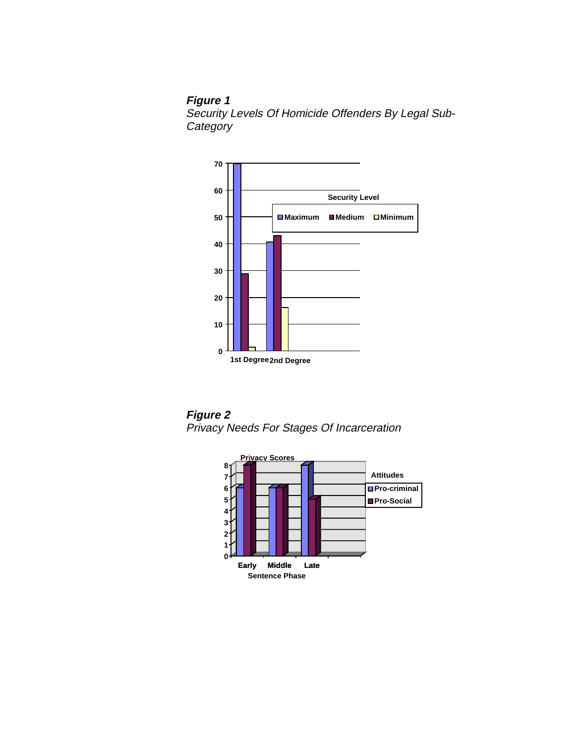**Figure 1** Security Levels Of Homicide Offenders By Legal Sub-**Category** 



**Figure 2** Privacy Needs For Stages Of Incarceration